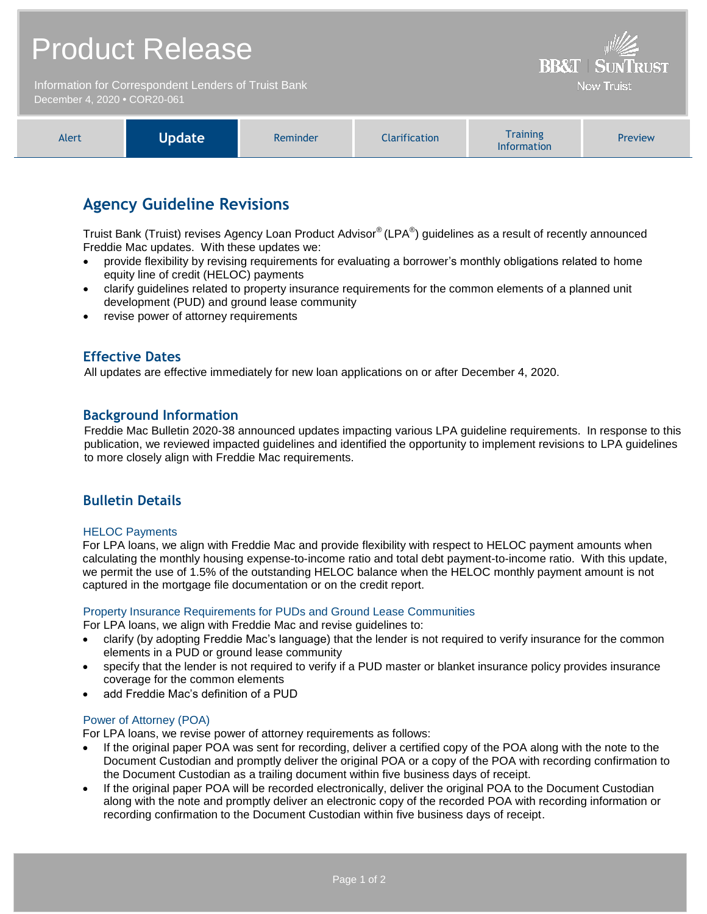# Product Release

Information for Correspondent Lenders of Truist Bank December 4, 2020 **•** COR20-061

| <b>Wodate</b><br>Alert<br>Reminder | larification | Training<br><b>Information</b> | <b>Preview</b> |
|------------------------------------|--------------|--------------------------------|----------------|
|------------------------------------|--------------|--------------------------------|----------------|

**BB&T | SUNTRUST Now Truist** 

# **Agency Guideline Revisions**

Truist Bank (Truist) revises Agency Loan Product Advisor® (LPA®) guidelines as a result of recently announced Freddie Mac updates. With these updates we:

- provide flexibility by revising requirements for evaluating a borrower's monthly obligations related to home equity line of credit (HELOC) payments
- clarify guidelines related to property insurance requirements for the common elements of a planned unit development (PUD) and ground lease community
- revise power of attorney requirements

# **Effective Dates**

All updates are effective immediately for new loan applications on or after December 4, 2020.

## **Background Information**

Freddie Mac Bulletin 2020-38 announced updates impacting various LPA guideline requirements. In response to this publication, we reviewed impacted guidelines and identified the opportunity to implement revisions to LPA guidelines to more closely align with Freddie Mac requirements.

# **Bulletin Details**

#### HELOC Payments

For LPA loans, we align with Freddie Mac and provide flexibility with respect to HELOC payment amounts when calculating the monthly housing expense-to-income ratio and total debt payment-to-income ratio. With this update, we permit the use of 1.5% of the outstanding HELOC balance when the HELOC monthly payment amount is not captured in the mortgage file documentation or on the credit report.

#### Property Insurance Requirements for PUDs and Ground Lease Communities

For LPA loans, we align with Freddie Mac and revise guidelines to:

- clarify (by adopting Freddie Mac's language) that the lender is not required to verify insurance for the common elements in a PUD or ground lease community
- specify that the lender is not required to verify if a PUD master or blanket insurance policy provides insurance coverage for the common elements
- add Freddie Mac's definition of a PUD

#### Power of Attorney (POA)

For LPA loans, we revise power of attorney requirements as follows:

- If the original paper POA was sent for recording, deliver a certified copy of the POA along with the note to the Document Custodian and promptly deliver the original POA or a copy of the POA with recording confirmation to the Document Custodian as a trailing document within five business days of receipt.
- If the original paper POA will be recorded electronically, deliver the original POA to the Document Custodian along with the note and promptly deliver an electronic copy of the recorded POA with recording information or recording confirmation to the Document Custodian within five business days of receipt.